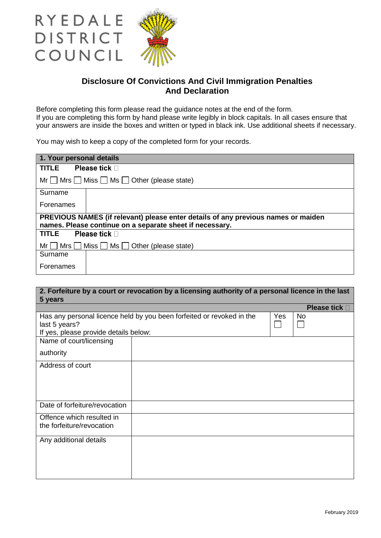

RYEDALE

DISTRICT

COUNCIL

## **Disclosure Of Convictions And Civil Immigration Penalties And Declaration**

Before completing this form please read the guidance notes at the end of the form. If you are completing this form by hand please write legibly in block capitals. In all cases ensure that your answers are inside the boxes and written or typed in black ink. Use additional sheets if necessary.

You may wish to keep a copy of the completed form for your records.

| 1. Your personal details                                                                                                                      |  |  |  |
|-----------------------------------------------------------------------------------------------------------------------------------------------|--|--|--|
| Please tick $\square$<br><b>TITLE</b>                                                                                                         |  |  |  |
| $Mr \tMrs \tMiss \tMss \tMss$ Ms $\Box$ Other (please state)                                                                                  |  |  |  |
| Surname                                                                                                                                       |  |  |  |
| Forenames                                                                                                                                     |  |  |  |
| PREVIOUS NAMES (if relevant) please enter details of any previous names or maiden<br>names. Please continue on a separate sheet if necessary. |  |  |  |
| <b>Please tick</b> □<br><b>TITLE</b>                                                                                                          |  |  |  |
| $Mrs$ Miss $Mss$ Ms $J$ Other (please state)<br>Mr I                                                                                          |  |  |  |
| Surname                                                                                                                                       |  |  |  |
| Forenames                                                                                                                                     |  |  |  |

| 2. Forfeiture by a court or revocation by a licensing authority of a personal licence in the last<br>5 years                    |  |  |                       |
|---------------------------------------------------------------------------------------------------------------------------------|--|--|-----------------------|
|                                                                                                                                 |  |  | Please tick $\square$ |
| Has any personal licence held by you been forfeited or revoked in the<br>last 5 years?<br>If yes, please provide details below: |  |  | <b>No</b>             |
| Name of court/licensing<br>authority                                                                                            |  |  |                       |
| Address of court                                                                                                                |  |  |                       |
| Date of forfeiture/revocation                                                                                                   |  |  |                       |
| Offence which resulted in<br>the forfeiture/revocation                                                                          |  |  |                       |
| Any additional details                                                                                                          |  |  |                       |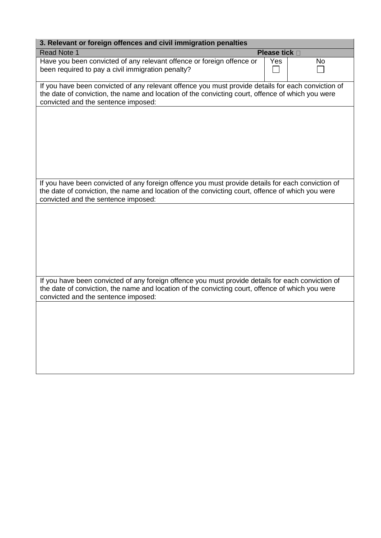| 3. Relevant or foreign offences and civil immigration penalties                                                                                                                                                                                                                                                                                                                                                |               |    |  |  |
|----------------------------------------------------------------------------------------------------------------------------------------------------------------------------------------------------------------------------------------------------------------------------------------------------------------------------------------------------------------------------------------------------------------|---------------|----|--|--|
| <b>Read Note 1</b>                                                                                                                                                                                                                                                                                                                                                                                             | Please tick D |    |  |  |
| Have you been convicted of any relevant offence or foreign offence or<br>been required to pay a civil immigration penalty?                                                                                                                                                                                                                                                                                     | Yes           | No |  |  |
| If you have been convicted of any relevant offence you must provide details for each conviction of<br>the date of conviction, the name and location of the convicting court, offence of which you were<br>convicted and the sentence imposed:                                                                                                                                                                  |               |    |  |  |
|                                                                                                                                                                                                                                                                                                                                                                                                                |               |    |  |  |
|                                                                                                                                                                                                                                                                                                                                                                                                                |               |    |  |  |
|                                                                                                                                                                                                                                                                                                                                                                                                                |               |    |  |  |
| convicted and the sentence imposed:                                                                                                                                                                                                                                                                                                                                                                            |               |    |  |  |
|                                                                                                                                                                                                                                                                                                                                                                                                                |               |    |  |  |
|                                                                                                                                                                                                                                                                                                                                                                                                                |               |    |  |  |
|                                                                                                                                                                                                                                                                                                                                                                                                                |               |    |  |  |
| convicted and the sentence imposed:                                                                                                                                                                                                                                                                                                                                                                            |               |    |  |  |
|                                                                                                                                                                                                                                                                                                                                                                                                                |               |    |  |  |
|                                                                                                                                                                                                                                                                                                                                                                                                                |               |    |  |  |
|                                                                                                                                                                                                                                                                                                                                                                                                                |               |    |  |  |
| If you have been convicted of any foreign offence you must provide details for each conviction of<br>the date of conviction, the name and location of the convicting court, offence of which you were<br>If you have been convicted of any foreign offence you must provide details for each conviction of<br>the date of conviction, the name and location of the convicting court, offence of which you were |               |    |  |  |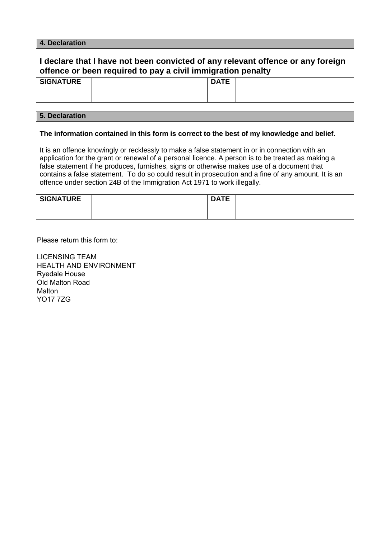#### **4. Declaration**

# **I declare that I have not been convicted of any relevant offence or any foreign offence or been required to pay a civil immigration penalty**

| <b>SIGNATURE</b> | <b>DATE</b> |
|------------------|-------------|
|                  |             |

### **5. Declaration**

#### **The information contained in this form is correct to the best of my knowledge and belief.**

It is an offence knowingly or recklessly to make a false statement in or in connection with an application for the grant or renewal of a personal licence. A person is to be treated as making a false statement if he produces, furnishes, signs or otherwise makes use of a document that contains a false statement. To do so could result in prosecution and a fine of any amount. It is an offence under section 24B of the Immigration Act 1971 to work illegally.

| <b>SIGNATURE</b> | <b>DATE</b> |  |
|------------------|-------------|--|
|                  |             |  |
|                  |             |  |

Please return this form to:

LICENSING TEAM HEALTH AND ENVIRONMENT Ryedale House Old Malton Road Malton YO17 7ZG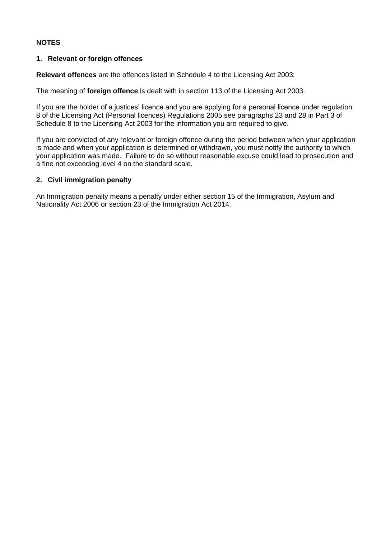### **NOTES**

### **1. Relevant or foreign offences**

**Relevant offences** are the offences listed in Schedule 4 to the Licensing Act 2003:

The meaning of **foreign offence** is dealt with in section 113 of the Licensing Act 2003.

If you are the holder of a justices' licence and you are applying for a personal licence under regulation 8 of the Licensing Act (Personal licences) Regulations 2005 see paragraphs 23 and 28 in Part 3 of Schedule 8 to the Licensing Act 2003 for the information you are required to give.

If you are convicted of any relevant or foreign offence during the period between when your application is made and when your application is determined or withdrawn, you must notify the authority to which your application was made. Failure to do so without reasonable excuse could lead to prosecution and a fine not exceeding level 4 on the standard scale.

### **2. Civil immigration penalty**

An Immigration penalty means a penalty under either section 15 of the Immigration, Asylum and Nationality Act 2006 or section 23 of the Immigration Act 2014.